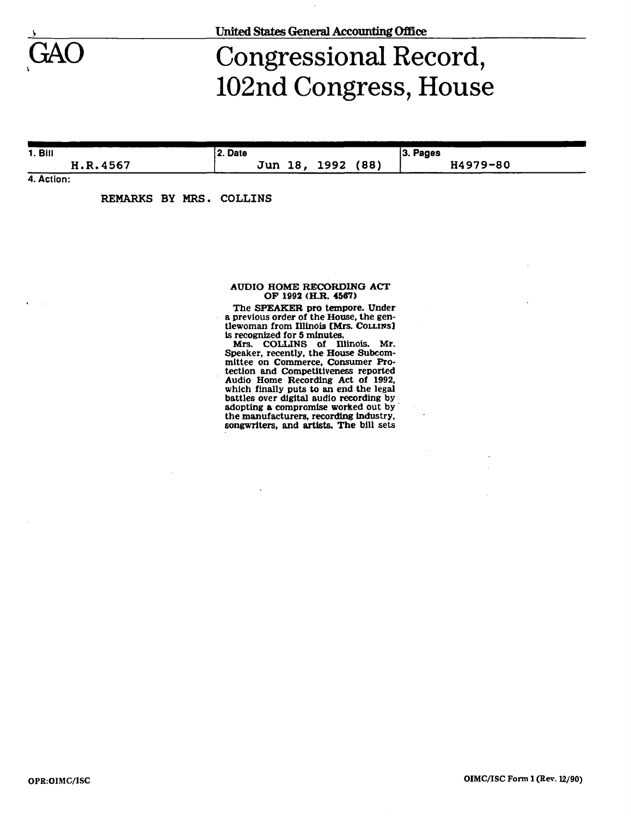

**\_> United States General Accounting Office** 

## Congressional Record, 102nd Congress, House

**1.BII** 

**H.R.4567** 

**Jun 18, 1992 (88)** 

**3. Pages H4979-80** 

**4. Action:** 

**REMARKS BY MRS. COLLINS** 

**2. Date** 

## **AUDIO HOME RECORDING ACT OF 1992 (H.R. 4567)**

**The SPEAKER pro tempore. Under a previous order of the House, the gentlewoman from Illinois [Mrs. COUJNS] is recognized for S minutes.** 

**Mrs. COLLINS of Illinois. Mr. Speaker, recently, the House Subcommittee on Commerce, Consumer Protection and Competitiveness reported Audio Home Recording Act of 1992, which finally puts to an end the legal battles over digital audio recording by adopting a compromise worked out by the manufacturers, recording industry, songwriters, and artists. The bill sets**